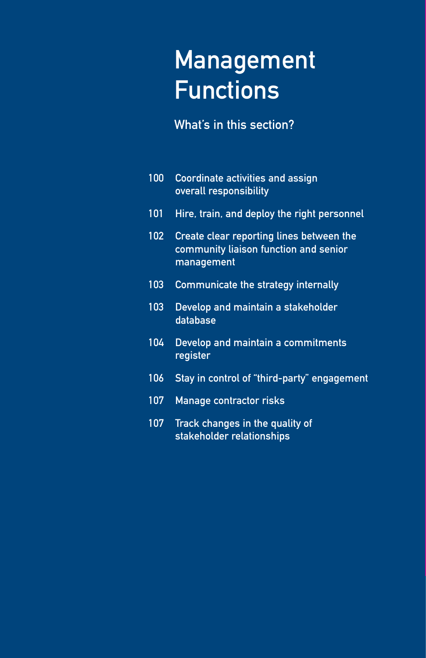# Management Functions

What's in this section?

| 100 | Coordinate activities and assign<br>overall responsibility                                      |
|-----|-------------------------------------------------------------------------------------------------|
| 101 | Hire, train, and deploy the right personnel                                                     |
| 102 | Create clear reporting lines between the<br>community liaison function and senior<br>management |
| 103 | Communicate the strategy internally                                                             |
| 103 | Develop and maintain a stakeholder<br>database                                                  |
| 104 | Develop and maintain a commitments<br>register                                                  |
| 106 | Stay in control of "third-party" engagement                                                     |
| 107 | Manage contractor risks                                                                         |
| 107 | Track changes in the quality of<br>stakeholder relationships                                    |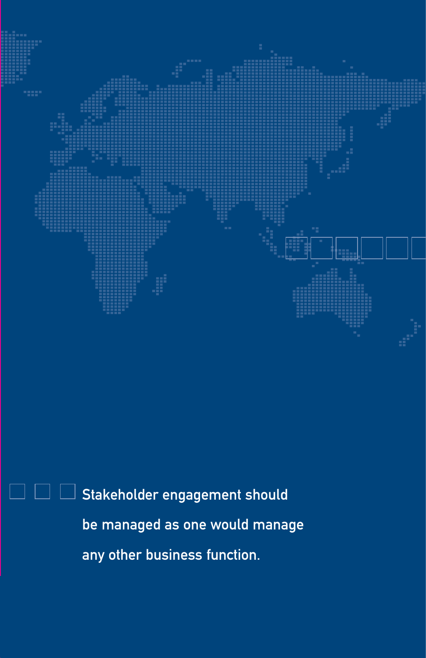

Stakeholder engagement should be managed as one would manage any other business function.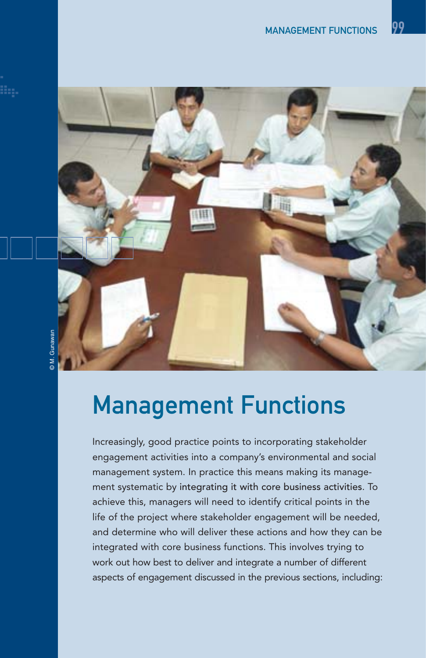

### **D.M.** Gunawan © M. Gunawan

## Management Functions

Increasingly, good practice points to incorporating stakeholder engagement activities into a company's environmental and social management system. In practice this means making its management systematic by integrating it with core business activities. To achieve this, managers will need to identify critical points in the life of the project where stakeholder engagement will be needed, and determine who will deliver these actions and how they can be integrated with core business functions. This involves trying to work out how best to deliver and integrate a number of different aspects of engagement discussed in the previous sections, including: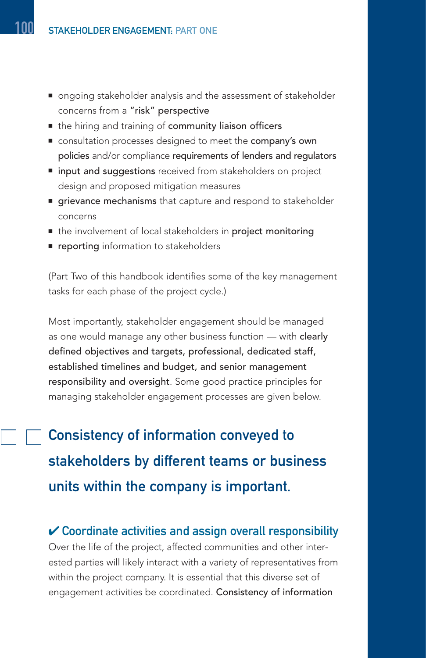- ongoing stakeholder analysis and the assessment of stakeholder concerns from a "risk" perspective
- the hiring and training of community liaison officers
- consultation processes designed to meet the **company's own** policies and/or compliance requirements of lenders and regulators
- input and suggestions received from stakeholders on project design and proposed mitigation measures
- grievance mechanisms that capture and respond to stakeholder concerns
- the involvement of local stakeholders in project monitoring
- reporting information to stakeholders

(Part Two of this handbook identifies some of the key management tasks for each phase of the project cycle.)

Most importantly, stakeholder engagement should be managed as one would manage any other business function — with clearly defined objectives and targets, professional, dedicated staff, established timelines and budget, and senior management responsibility and oversight. Some good practice principles for managing stakeholder engagement processes are given below.

Consistency of information conveyed to stakeholders by different teams or business units within the company is important.

#### $\mathcal V$  Coordinate activities and assign overall responsibility

Over the life of the project, affected communities and other interested parties will likely interact with a variety of representatives from within the project company. It is essential that this diverse set of engagement activities be coordinated. Consistency of information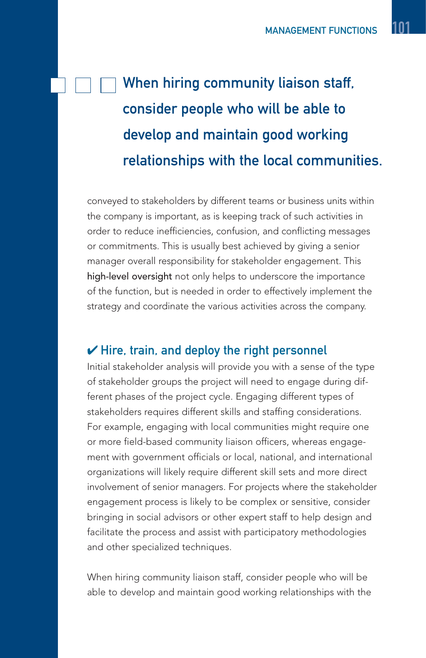### When hiring community liaison staff, consider people who will be able to develop and maintain good working relationships with the local communities.

conveyed to stakeholders by different teams or business units within the company is important, as is keeping track of such activities in order to reduce inefficiencies, confusion, and conflicting messages or commitments. This is usually best achieved by giving a senior manager overall responsibility for stakeholder engagement. This high-level oversight not only helps to underscore the importance of the function, but is needed in order to effectively implement the strategy and coordinate the various activities across the company.

#### $\checkmark$  Hire, train, and deploy the right personnel

Initial stakeholder analysis will provide you with a sense of the type of stakeholder groups the project will need to engage during different phases of the project cycle. Engaging different types of stakeholders requires different skills and staffing considerations. For example, engaging with local communities might require one or more field-based community liaison officers, whereas engagement with government officials or local, national, and international organizations will likely require different skill sets and more direct involvement of senior managers. For projects where the stakeholder engagement process is likely to be complex or sensitive, consider bringing in social advisors or other expert staff to help design and facilitate the process and assist with participatory methodologies and other specialized techniques.

When hiring community liaison staff, consider people who will be able to develop and maintain good working relationships with the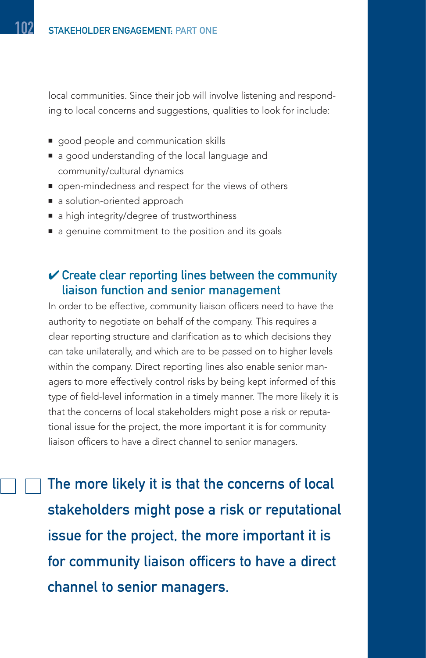local communities. Since their job will involve listening and responding to local concerns and suggestions, qualities to look for include:

- good people and communication skills
- a good understanding of the local language and community/cultural dynamics
- open-mindedness and respect for the views of others
- a solution-oriented approach
- a high integrity/degree of trustworthiness
- a genuine commitment to the position and its goals

#### $\vee$  Create clear reporting lines between the community liaison function and senior management

In order to be effective, community liaison officers need to have the authority to negotiate on behalf of the company. This requires a clear reporting structure and clarification as to which decisions they can take unilaterally, and which are to be passed on to higher levels within the company. Direct reporting lines also enable senior managers to more effectively control risks by being kept informed of this type of field-level information in a timely manner. The more likely it is that the concerns of local stakeholders might pose a risk or reputational issue for the project, the more important it is for community liaison officers to have a direct channel to senior managers.

The more likely it is that the concerns of local stakeholders might pose a risk or reputational issue for the project, the more important it is for community liaison officers to have a direct channel to senior managers.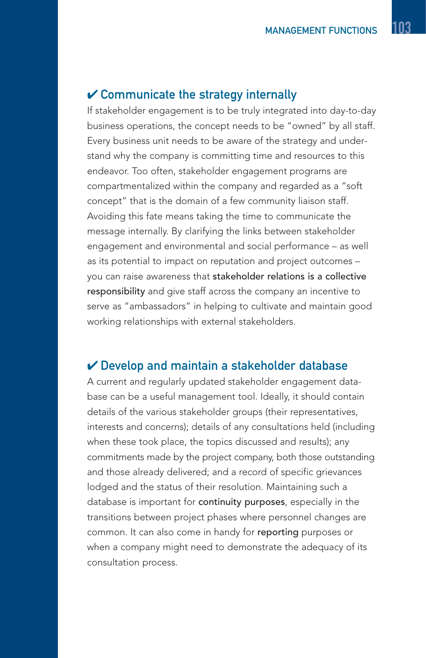#### $\mathcal V$  Communicate the strategy internally

If stakeholder engagement is to be truly integrated into day-to-day business operations, the concept needs to be "owned" by all staff. Every business unit needs to be aware of the strategy and understand why the company is committing time and resources to this endeavor. Too often, stakeholder engagement programs are compartmentalized within the company and regarded as a "soft concept" that is the domain of a few community liaison staff. Avoiding this fate means taking the time to communicate the message internally. By clarifying the links between stakeholder engagement and environmental and social performance – as well as its potential to impact on reputation and project outcomes – you can raise awareness that stakeholder relations is a collective responsibility and give staff across the company an incentive to serve as "ambassadors" in helping to cultivate and maintain good working relationships with external stakeholders.

#### $\checkmark$  Develop and maintain a stakeholder database

A current and regularly updated stakeholder engagement database can be a useful management tool. Ideally, it should contain details of the various stakeholder groups (their representatives, interests and concerns); details of any consultations held (including when these took place, the topics discussed and results); any commitments made by the project company, both those outstanding and those already delivered; and a record of specific grievances lodged and the status of their resolution. Maintaining such a database is important for continuity purposes, especially in the transitions between project phases where personnel changes are common. It can also come in handy for reporting purposes or when a company might need to demonstrate the adequacy of its consultation process.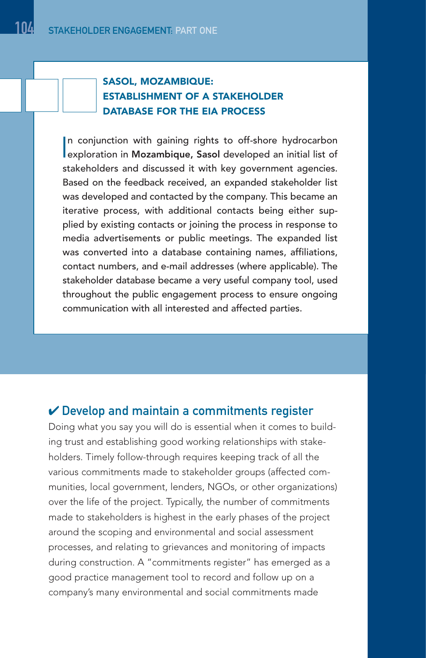#### SASOL, MOZAMBIQUE: ESTABLISHMENT OF A STAKEHOLDER DATABASE FOR THE EIA PROCESS

In conjunction with gaining rights to off-shore hydrocarbon<br>
exploration in Mozambique, Sasol developed an initial list of n conjunction with gaining rights to off-shore hydrocarbon stakeholders and discussed it with key government agencies. Based on the feedback received, an expanded stakeholder list was developed and contacted by the company. This became an iterative process, with additional contacts being either supplied by existing contacts or joining the process in response to media advertisements or public meetings. The expanded list was converted into a database containing names, affiliations, contact numbers, and e-mail addresses (where applicable). The stakeholder database became a very useful company tool, used throughout the public engagement process to ensure ongoing communication with all interested and affected parties.

#### $\vee$  Develop and maintain a commitments register

Doing what you say you will do is essential when it comes to building trust and establishing good working relationships with stakeholders. Timely follow-through requires keeping track of all the various commitments made to stakeholder groups (affected communities, local government, lenders, NGOs, or other organizations) over the life of the project. Typically, the number of commitments made to stakeholders is highest in the early phases of the project around the scoping and environmental and social assessment processes, and relating to grievances and monitoring of impacts during construction. A "commitments register" has emerged as a good practice management tool to record and follow up on a company's many environmental and social commitments made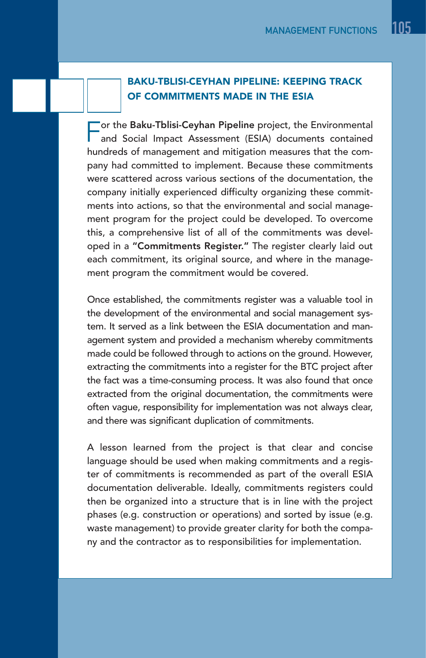#### BAKU-TBLISI-CEYHAN PIPELINE: KEEPING TRACK OF COMMITMENTS MADE IN THE ESIA

Tor the Baku-Tblisi-Ceyhan Pipeline project, the Environmental and Social Impact Assessment (ESIA) documents contained hundreds of management and mitigation measures that the company had committed to implement. Because these commitments were scattered across various sections of the documentation, the company initially experienced difficulty organizing these commitments into actions, so that the environmental and social management program for the project could be developed. To overcome this, a comprehensive list of all of the commitments was developed in a "Commitments Register." The register clearly laid out each commitment, its original source, and where in the management program the commitment would be covered.

Once established, the commitments register was a valuable tool in the development of the environmental and social management system. It served as a link between the ESIA documentation and management system and provided a mechanism whereby commitments made could be followed through to actions on the ground. However, extracting the commitments into a register for the BTC project after the fact was a time-consuming process. It was also found that once extracted from the original documentation, the commitments were often vague, responsibility for implementation was not always clear, and there was significant duplication of commitments.

A lesson learned from the project is that clear and concise language should be used when making commitments and a register of commitments is recommended as part of the overall ESIA documentation deliverable. Ideally, commitments registers could then be organized into a structure that is in line with the project phases (e.g. construction or operations) and sorted by issue (e.g. waste management) to provide greater clarity for both the company and the contractor as to responsibilities for implementation.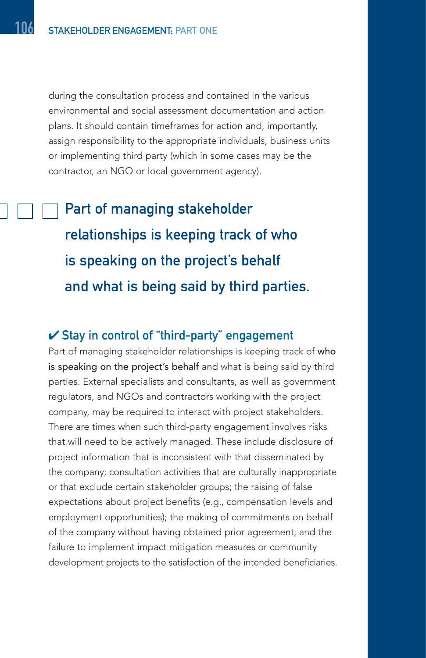during the consultation process and contained in the various environmental and social assessment documentation and action plans. It should contain timeframes for action and, importantly, assign responsibility to the appropriate individuals, business units or implementing third party (which in some cases may be the contractor, an NGO or local government agency).

Part of managing stakeholder relationships is keeping track of who is speaking on the project's behalf and what is being said by third parties.

#### $\checkmark$  Stay in control of "third-party" engagement

Part of managing stakeholder relationships is keeping track of who is speaking on the project's behalf and what is being said by third parties. External specialists and consultants, as well as government regulators, and NGOs and contractors working with the project company, may be required to interact with project stakeholders. There are times when such third-party engagement involves risks that will need to be actively managed. These include disclosure of project information that is inconsistent with that disseminated by the company; consultation activities that are culturally inappropriate or that exclude certain stakeholder groups; the raising of false expectations about project benefits (e.g., compensation levels and employment opportunities); the making of commitments on behalf of the company without having obtained prior agreement; and the failure to implement impact mitigation measures or community development projects to the satisfaction of the intended beneficiaries.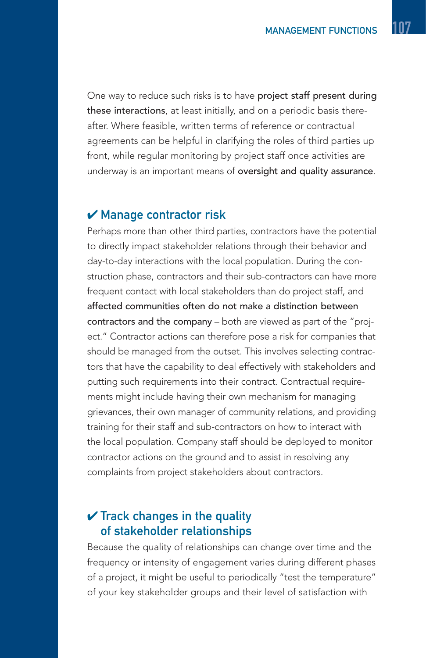One way to reduce such risks is to have project staff present during these interactions, at least initially, and on a periodic basis thereafter. Where feasible, written terms of reference or contractual agreements can be helpful in clarifying the roles of third parties up front, while regular monitoring by project staff once activities are underway is an important means of oversight and quality assurance.

#### $\boldsymbol{\nu}$  Manage contractor risk

Perhaps more than other third parties, contractors have the potential to directly impact stakeholder relations through their behavior and day-to-day interactions with the local population. During the construction phase, contractors and their sub-contractors can have more frequent contact with local stakeholders than do project staff, and affected communities often do not make a distinction between contractors and the company – both are viewed as part of the "project." Contractor actions can therefore pose a risk for companies that should be managed from the outset. This involves selecting contractors that have the capability to deal effectively with stakeholders and putting such requirements into their contract. Contractual requirements might include having their own mechanism for managing grievances, their own manager of community relations, and providing training for their staff and sub-contractors on how to interact with the local population. Company staff should be deployed to monitor contractor actions on the ground and to assist in resolving any complaints from project stakeholders about contractors.

#### $\checkmark$  Track changes in the quality of stakeholder relationships

Because the quality of relationships can change over time and the frequency or intensity of engagement varies during different phases of a project, it might be useful to periodically "test the temperature" of your key stakeholder groups and their level of satisfaction with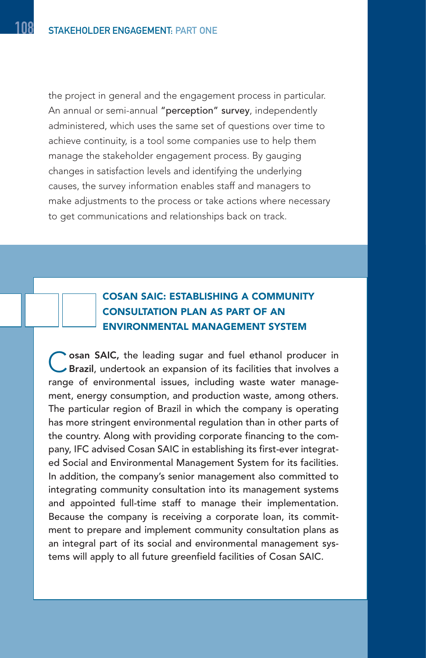the project in general and the engagement process in particular. An annual or semi-annual "perception" survey, independently administered, which uses the same set of questions over time to achieve continuity, is a tool some companies use to help them manage the stakeholder engagement process. By gauging changes in satisfaction levels and identifying the underlying causes, the survey information enables staff and managers to make adjustments to the process or take actions where necessary to get communications and relationships back on track.

#### COSAN SAIC: ESTABLISHING A COMMUNITY CONSULTATION PLAN AS PART OF AN ENVIRONMENTAL MANAGEMENT SYSTEM

Cosan SAIC, the leading sugar and fuel ethanol producer in Brazil, undertook an expansion of its facilities that involves a range of environmental issues, including waste water management, energy consumption, and production waste, among others. The particular region of Brazil in which the company is operating has more stringent environmental regulation than in other parts of the country. Along with providing corporate financing to the company, IFC advised Cosan SAIC in establishing its first-ever integrated Social and Environmental Management System for its facilities. In addition, the company's senior management also committed to integrating community consultation into its management systems and appointed full-time staff to manage their implementation. Because the company is receiving a corporate loan, its commitment to prepare and implement community consultation plans as an integral part of its social and environmental management systems will apply to all future greenfield facilities of Cosan SAIC.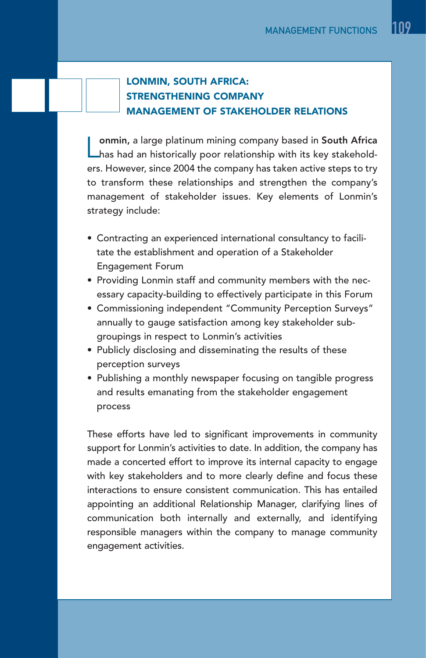#### LONMIN, SOUTH AFRICA: STRENGTHENING COMPANY MANAGEMENT OF STAKEHOLDER RELATIONS

onmin, a large platinum mining company based in South Africa **L** has had an historically poor relationship with its key stakeholders. However, since 2004 the company has taken active steps to try to transform these relationships and strengthen the company's management of stakeholder issues. Key elements of Lonmin's strategy include:

- Contracting an experienced international consultancy to facilitate the establishment and operation of a Stakeholder Engagement Forum
- Providing Lonmin staff and community members with the necessary capacity-building to effectively participate in this Forum
- Commissioning independent "Community Perception Surveys" annually to gauge satisfaction among key stakeholder subgroupings in respect to Lonmin's activities
- Publicly disclosing and disseminating the results of these perception surveys
- Publishing a monthly newspaper focusing on tangible progress and results emanating from the stakeholder engagement process

These efforts have led to significant improvements in community support for Lonmin's activities to date. In addition, the company has made a concerted effort to improve its internal capacity to engage with key stakeholders and to more clearly define and focus these interactions to ensure consistent communication. This has entailed appointing an additional Relationship Manager, clarifying lines of communication both internally and externally, and identifying responsible managers within the company to manage community engagement activities.